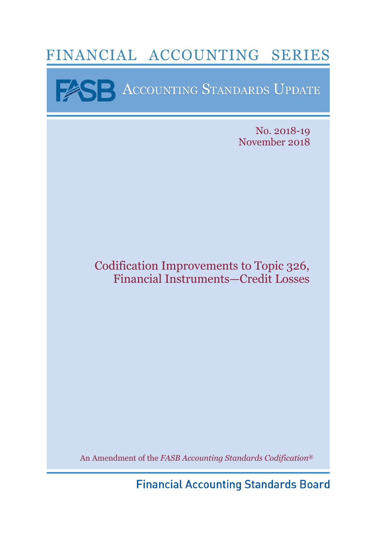# FINANCIAL ACCOUNTING SERIES

**BE ACCOUNTING STANDARDS UPDATE** 

No. 2018-19 November 2018

Codification Improvements to Topic 326, Financial Instruments—Credit Losses

An Amendment of the *FASB Accounting Standards Codification*®

**Financial Accounting Standards Board**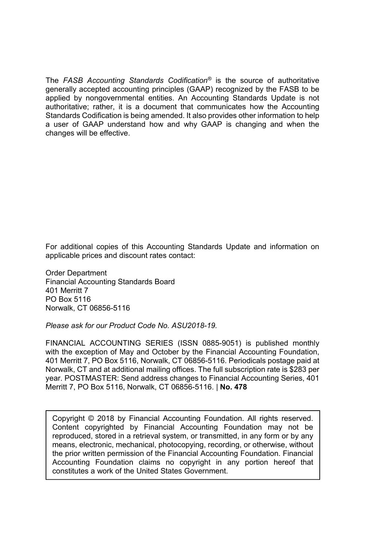The *FASB Accounting Standards Codification®* is the source of authoritative generally accepted accounting principles (GAAP) recognized by the FASB to be applied by nongovernmental entities. An Accounting Standards Update is not authoritative; rather, it is a document that communicates how the Accounting Standards Codification is being amended. It also provides other information to help a user of GAAP understand how and why GAAP is changing and when the changes will be effective.

For additional copies of this Accounting Standards Update and information on applicable prices and discount rates contact:

Order Department Financial Accounting Standards Board 401 Merritt 7 PO Box 5116 Norwalk, CT 06856-5116

*Please ask for our Product Code No. ASU2018-19.* 

FINANCIAL ACCOUNTING SERIES (ISSN 0885-9051) is published monthly with the exception of May and October by the Financial Accounting Foundation, 401 Merritt 7, PO Box 5116, Norwalk, CT 06856-5116. Periodicals postage paid at Norwalk, CT and at additional mailing offices. The full subscription rate is \$283 per year. POSTMASTER: Send address changes to Financial Accounting Series, 401 Merritt 7, PO Box 5116, Norwalk, CT 06856-5116. | **No. 478**

Copyright © 2018 by Financial Accounting Foundation. All rights reserved. Content copyrighted by Financial Accounting Foundation may not be reproduced, stored in a retrieval system, or transmitted, in any form or by any means, electronic, mechanical, photocopying, recording, or otherwise, without the prior written permission of the Financial Accounting Foundation. Financial Accounting Foundation claims no copyright in any portion hereof that constitutes a work of the United States Government.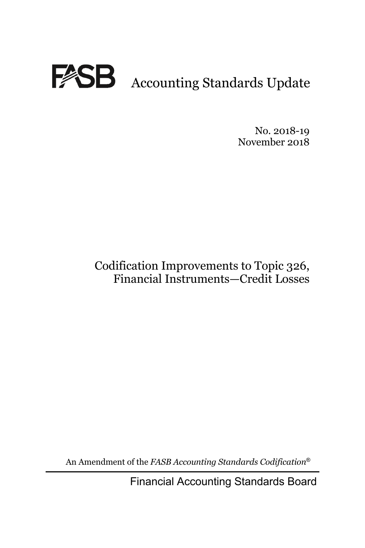

No. 2018-19 November 2018

## Codification Improvements to Topic 326, Financial Instruments—Credit Losses

An Amendment of the *FASB Accounting Standards Codification*®

Financial Accounting Standards Board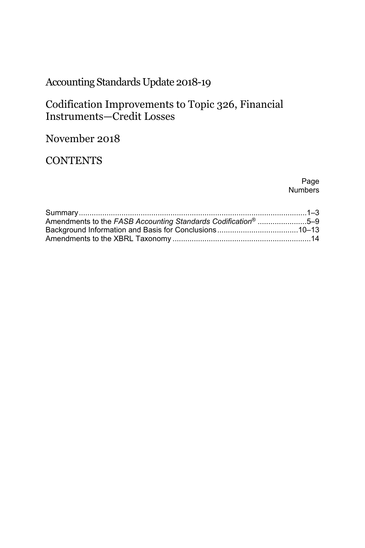## Accounting Standards Update 2018-19

### Codification Improvements to Topic 326, Financial Instruments—Credit Losses

### November 2018

### **CONTENTS**

Page **Numbers** 

| Amendments to the FASB Accounting Standards Codification <sup>®</sup> 5–9 |  |
|---------------------------------------------------------------------------|--|
|                                                                           |  |
|                                                                           |  |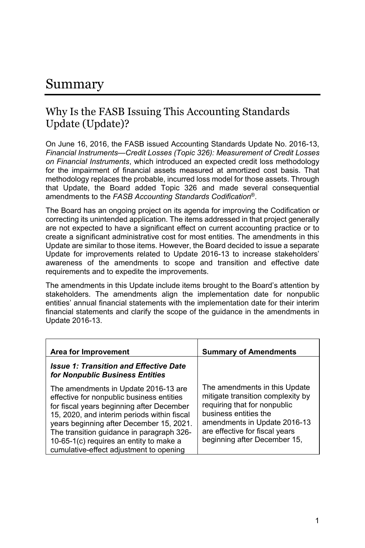## Summary

### Why Is the FASB Issuing This Accounting Standards Update (Update)?

On June 16, 2016, the FASB issued Accounting Standards Update No. 2016-13, *Financial Instruments—Credit Losses (Topic 326): Measurement of Credit Losses on Financial Instruments*, which introduced an expected credit loss methodology for the impairment of financial assets measured at amortized cost basis. That methodology replaces the probable, incurred loss model for those assets. Through that Update, the Board added Topic 326 and made several consequential amendments to the *FASB Accounting Standards Codification*®.

The Board has an ongoing project on its agenda for improving the Codification or correcting its unintended application. The items addressed in that project generally are not expected to have a significant effect on current accounting practice or to create a significant administrative cost for most entities. The amendments in this Update are similar to those items. However, the Board decided to issue a separate Update for improvements related to Update 2016-13 to increase stakeholders' awareness of the amendments to scope and transition and effective date requirements and to expedite the improvements.

The amendments in this Update include items brought to the Board's attention by stakeholders. The amendments align the implementation date for nonpublic entities' annual financial statements with the implementation date for their interim financial statements and clarify the scope of the guidance in the amendments in Update 2016-13.

| Area for Improvement                                                                                                                                                                                                                                                                                                                                         | <b>Summary of Amendments</b>                                                                                                                                                                                                  |
|--------------------------------------------------------------------------------------------------------------------------------------------------------------------------------------------------------------------------------------------------------------------------------------------------------------------------------------------------------------|-------------------------------------------------------------------------------------------------------------------------------------------------------------------------------------------------------------------------------|
| <b>Issue 1: Transition and Effective Date</b><br>for Nonpublic Business Entities                                                                                                                                                                                                                                                                             |                                                                                                                                                                                                                               |
| The amendments in Update 2016-13 are<br>effective for nonpublic business entities<br>for fiscal years beginning after December<br>15, 2020, and interim periods within fiscal<br>years beginning after December 15, 2021.<br>The transition guidance in paragraph 326-<br>10-65-1(c) requires an entity to make a<br>cumulative-effect adjustment to opening | The amendments in this Update<br>mitigate transition complexity by<br>requiring that for nonpublic<br>business entities the<br>amendments in Update 2016-13<br>are effective for fiscal years<br>beginning after December 15, |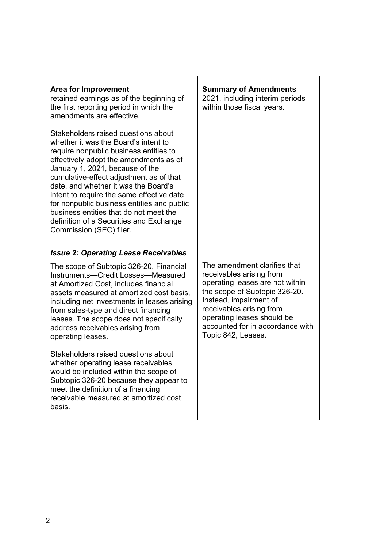| <b>Summary of Amendments</b>                                                                                                                                                                                                                                               |
|----------------------------------------------------------------------------------------------------------------------------------------------------------------------------------------------------------------------------------------------------------------------------|
| 2021, including interim periods<br>within those fiscal years.                                                                                                                                                                                                              |
|                                                                                                                                                                                                                                                                            |
|                                                                                                                                                                                                                                                                            |
| The amendment clarifies that<br>receivables arising from<br>operating leases are not within<br>the scope of Subtopic 326-20.<br>Instead, impairment of<br>receivables arising from<br>operating leases should be<br>accounted for in accordance with<br>Topic 842, Leases. |
|                                                                                                                                                                                                                                                                            |
|                                                                                                                                                                                                                                                                            |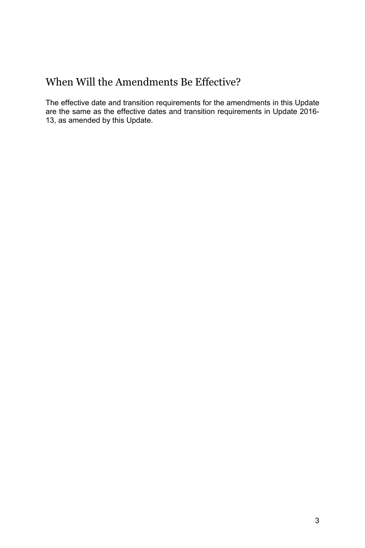## When Will the Amendments Be Effective?

The effective date and transition requirements for the amendments in this Update are the same as the effective dates and transition requirements in Update 2016- 13, as amended by this Update.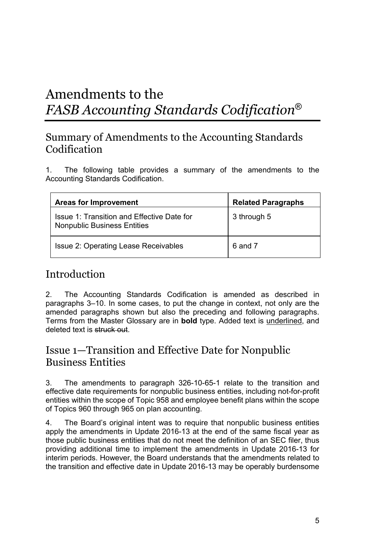# Amendments to the *FASB Accounting Standards Codification*®

### Summary of Amendments to the Accounting Standards Codification

1. The following table provides a summary of the amendments to the Accounting Standards Codification.

| Areas for Improvement                                                            | <b>Related Paragraphs</b> |
|----------------------------------------------------------------------------------|---------------------------|
| Issue 1: Transition and Effective Date for<br><b>Nonpublic Business Entities</b> | 3 through 5               |
| Issue 2: Operating Lease Receivables                                             | 6 and 7                   |

### Introduction

2. The Accounting Standards Codification is amended as described in paragraphs 3–10. In some cases, to put the change in context, not only are the amended paragraphs shown but also the preceding and following paragraphs. Terms from the Master Glossary are in **bold** type. Added text is underlined, and deleted text is struck out.

### Issue 1—Transition and Effective Date for Nonpublic Business Entities

3. The amendments to paragraph 326-10-65-1 relate to the transition and effective date requirements for nonpublic business entities, including not-for-profit entities within the scope of Topic 958 and employee benefit plans within the scope of Topics 960 through 965 on plan accounting.

4. The Board's original intent was to require that nonpublic business entities apply the amendments in Update 2016-13 at the end of the same fiscal year as those public business entities that do not meet the definition of an SEC filer, thus providing additional time to implement the amendments in Update 2016-13 for interim periods. However, the Board understands that the amendments related to the transition and effective date in Update 2016-13 may be operably burdensome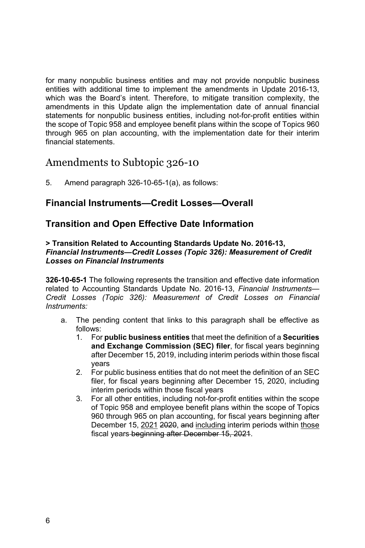for many nonpublic business entities and may not provide nonpublic business entities with additional time to implement the amendments in Update 2016-13, which was the Board's intent. Therefore, to mitigate transition complexity, the amendments in this Update align the implementation date of annual financial statements for nonpublic business entities, including not-for-profit entities within the scope of Topic 958 and employee benefit plans within the scope of Topics 960 through 965 on plan accounting, with the implementation date for their interim financial statements.

#### Amendments to Subtopic 326-10

5. Amend paragraph 326-10-65-1(a), as follows:

#### **Financial Instruments—Credit Losses—Overall**

#### **Transition and Open Effective Date Information**

#### **> Transition Related to Accounting Standards Update No. 2016-13,**  *Financial Instruments—Credit Losses (Topic 326): Measurement of Credit Losses on Financial Instruments*

**326-10-65-1** The following represents the transition and effective date information related to Accounting Standards Update No. 2016-13, *Financial Instruments— Credit Losses (Topic 326): Measurement of Credit Losses on Financial Instruments:*

- a. The pending content that links to this paragraph shall be effective as follows:
	- 1. For **public business entities** that meet the definition of a **Securities and Exchange Commission (SEC) filer**, for fiscal years beginning after December 15, 2019, including interim periods within those fiscal years
	- 2. For public business entities that do not meet the definition of an SEC filer, for fiscal years beginning after December 15, 2020, including interim periods within those fiscal years
	- 3. For all other entities, including not-for-profit entities within the scope of Topic 958 and employee benefit plans within the scope of Topics 960 through 965 on plan accounting, for fiscal years beginning after December 15, 2021 2020, and including interim periods within those fiscal years beginning after December 15, 2021.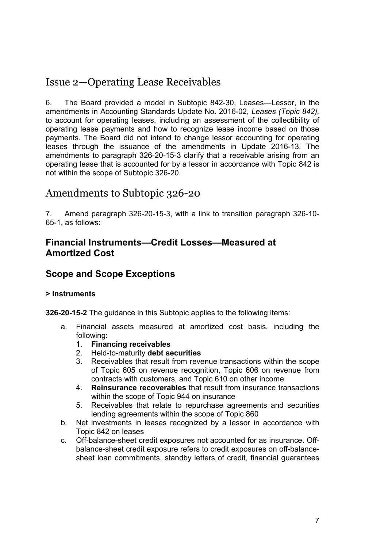## Issue 2—Operating Lease Receivables

6. The Board provided a model in Subtopic 842-30, Leases—Lessor, in the amendments in Accounting Standards Update No. 2016-02, *Leases (Topic 842),*  to account for operating leases, including an assessment of the collectibility of operating lease payments and how to recognize lease income based on those payments. The Board did not intend to change lessor accounting for operating leases through the issuance of the amendments in Update 2016-13. The amendments to paragraph 326-20-15-3 clarify that a receivable arising from an operating lease that is accounted for by a lessor in accordance with Topic 842 is not within the scope of Subtopic 326-20.

### Amendments to Subtopic 326-20

7. Amend paragraph 326-20-15-3, with a link to transition paragraph 326-10- 65-1, as follows:

#### **Financial Instruments—Credit Losses—Measured at Amortized Cost**

#### **Scope and Scope Exceptions**

#### **> Instruments**

**326-20-15-2** The guidance in this Subtopic applies to the following items:

- a. Financial assets measured at amortized cost basis, including the following:
	- 1. **Financing receivables**
	- 2. Held-to-maturity **debt securities**
	- 3. Receivables that result from revenue transactions within the scope of Topic 605 on revenue recognition, Topic 606 on revenue from contracts with customers, and Topic 610 on other income
	- 4. **Reinsurance recoverables** that result from insurance transactions within the scope of Topic 944 on insurance
	- 5. Receivables that relate to repurchase agreements and securities lending agreements within the scope of Topic 860
- b. Net investments in leases recognized by a lessor in accordance with Topic 842 on leases
- c. Off-balance-sheet credit exposures not accounted for as insurance. Offbalance-sheet credit exposure refers to credit exposures on off-balancesheet loan commitments, standby letters of credit, financial guarantees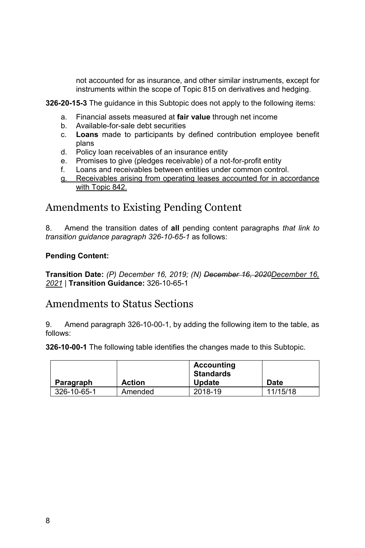not accounted for as insurance, and other similar instruments, except for instruments within the scope of Topic 815 on derivatives and hedging.

**326-20-15-3** The guidance in this Subtopic does not apply to the following items:

- a. Financial assets measured at **fair value** through net income
- b. Available-for-sale debt securities
- c. **Loans** made to participants by defined contribution employee benefit plans
- d. Policy loan receivables of an insurance entity
- e. Promises to give (pledges receivable) of a not-for-profit entity
- f. Loans and receivables between entities under common control.
- g. Receivables arising from operating leases accounted for in accordance with Topic 842.

### Amendments to Existing Pending Content

8. Amend the transition dates of **all** pending content paragraphs *that link to transition guidance paragraph 326-10-65-1* as follows:

#### **Pending Content:**

**Transition Date:** *(P) December 16, 2019; (N) December 16, 2020December 16, 2021* | **Transition Guidance:** 326-10-65-1

#### Amendments to Status Sections

9. Amend paragraph 326-10-00-1, by adding the following item to the table, as follows:

**326-10-00-1** The following table identifies the changes made to this Subtopic.

|             |               | <b>Accounting</b><br>Standards |             |
|-------------|---------------|--------------------------------|-------------|
| Paragraph   | <b>Action</b> | <b>Update</b>                  | <b>Date</b> |
| 326-10-65-1 | Amended       | 2018-19                        | 11/15/18    |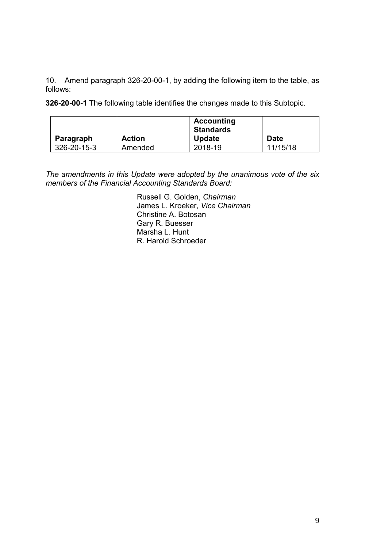10. Amend paragraph 326-20-00-1, by adding the following item to the table, as follows:

**326-20-00-1** The following table identifies the changes made to this Subtopic.

| Paragraph   | <b>Action</b> | Accounting<br><b>Standards</b><br><b>Update</b> | Date     |
|-------------|---------------|-------------------------------------------------|----------|
| 326-20-15-3 | Amended       | 2018-19                                         | 11/15/18 |
|             |               |                                                 |          |

*The amendments in this Update were adopted by the unanimous vote of the six members of the Financial Accounting Standards Board:*

> Russell G. Golden, *Chairman*  James L. Kroeker, *Vice Chairman* Christine A. Botosan Gary R. Buesser Marsha L. Hunt R. Harold Schroeder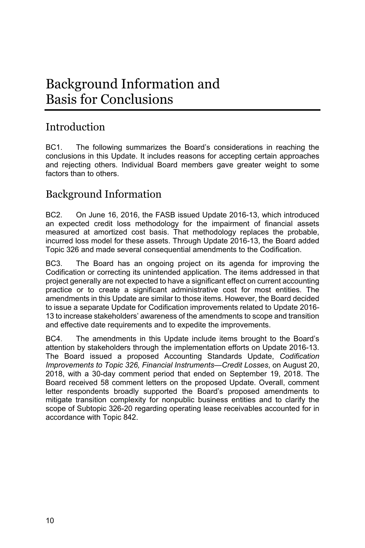# Background Information and Basis for Conclusions

### Introduction

BC1. The following summarizes the Board's considerations in reaching the conclusions in this Update. It includes reasons for accepting certain approaches and rejecting others. Individual Board members gave greater weight to some factors than to others.

### Background Information

BC2. On June 16, 2016, the FASB issued Update 2016-13, which introduced an expected credit loss methodology for the impairment of financial assets measured at amortized cost basis. That methodology replaces the probable, incurred loss model for these assets. Through Update 2016-13, the Board added Topic 326 and made several consequential amendments to the Codification.

BC3. The Board has an ongoing project on its agenda for improving the Codification or correcting its unintended application. The items addressed in that project generally are not expected to have a significant effect on current accounting practice or to create a significant administrative cost for most entities. The amendments in this Update are similar to those items. However, the Board decided to issue a separate Update for Codification improvements related to Update 2016- 13 to increase stakeholders' awareness of the amendments to scope and transition and effective date requirements and to expedite the improvements.

BC4. The amendments in this Update include items brought to the Board's attention by stakeholders through the implementation efforts on Update 2016-13. The Board issued a proposed Accounting Standards Update, *Codification Improvements to Topic 326, Financial Instruments—Credit Losses*, on August 20, 2018, with a 30-day comment period that ended on September 19, 2018. The Board received 58 comment letters on the proposed Update. Overall, comment letter respondents broadly supported the Board's proposed amendments to mitigate transition complexity for nonpublic business entities and to clarify the scope of Subtopic 326-20 regarding operating lease receivables accounted for in accordance with Topic 842.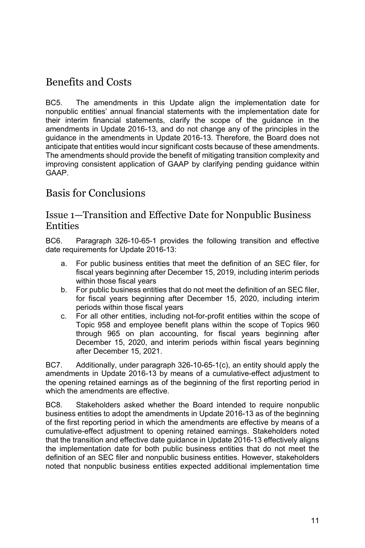## Benefits and Costs

BC5. The amendments in this Update align the implementation date for nonpublic entities' annual financial statements with the implementation date for their interim financial statements, clarify the scope of the guidance in the amendments in Update 2016-13, and do not change any of the principles in the guidance in the amendments in Update 2016-13. Therefore, the Board does not anticipate that entities would incur significant costs because of these amendments. The amendments should provide the benefit of mitigating transition complexity and improving consistent application of GAAP by clarifying pending guidance within GAAP.

### Basis for Conclusions

#### Issue 1—Transition and Effective Date for Nonpublic Business **Entities**

BC6. Paragraph 326-10-65-1 provides the following transition and effective date requirements for Update 2016-13:

- a. For public business entities that meet the definition of an SEC filer, for fiscal years beginning after December 15, 2019, including interim periods within those fiscal years
- b. For public business entities that do not meet the definition of an SEC filer, for fiscal years beginning after December 15, 2020, including interim periods within those fiscal years
- c. For all other entities, including not-for-profit entities within the scope of Topic 958 and employee benefit plans within the scope of Topics 960 through 965 on plan accounting, for fiscal years beginning after December 15, 2020, and interim periods within fiscal years beginning after December 15, 2021.

BC7. Additionally, under paragraph 326-10-65-1(c), an entity should apply the amendments in Update 2016-13 by means of a cumulative-effect adjustment to the opening retained earnings as of the beginning of the first reporting period in which the amendments are effective.

BC8. Stakeholders asked whether the Board intended to require nonpublic business entities to adopt the amendments in Update 2016-13 as of the beginning of the first reporting period in which the amendments are effective by means of a cumulative-effect adjustment to opening retained earnings. Stakeholders noted that the transition and effective date guidance in Update 2016-13 effectively aligns the implementation date for both public business entities that do not meet the definition of an SEC filer and nonpublic business entities. However, stakeholders noted that nonpublic business entities expected additional implementation time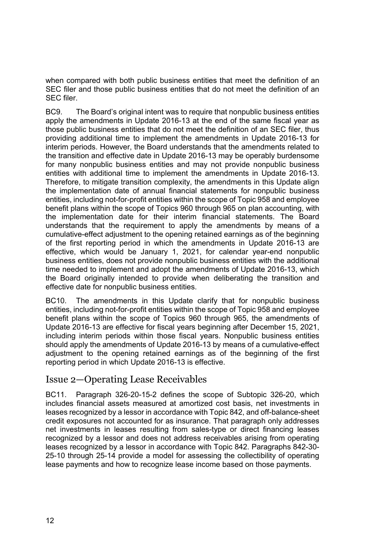when compared with both public business entities that meet the definition of an SEC filer and those public business entities that do not meet the definition of an SEC filer.

BC9. The Board's original intent was to require that nonpublic business entities apply the amendments in Update 2016-13 at the end of the same fiscal year as those public business entities that do not meet the definition of an SEC filer, thus providing additional time to implement the amendments in Update 2016-13 for interim periods. However, the Board understands that the amendments related to the transition and effective date in Update 2016-13 may be operably burdensome for many nonpublic business entities and may not provide nonpublic business entities with additional time to implement the amendments in Update 2016-13. Therefore, to mitigate transition complexity, the amendments in this Update align the implementation date of annual financial statements for nonpublic business entities, including not-for-profit entities within the scope of Topic 958 and employee benefit plans within the scope of Topics 960 through 965 on plan accounting, with the implementation date for their interim financial statements. The Board understands that the requirement to apply the amendments by means of a cumulative-effect adjustment to the opening retained earnings as of the beginning of the first reporting period in which the amendments in Update 2016-13 are effective, which would be January 1, 2021, for calendar year-end nonpublic business entities, does not provide nonpublic business entities with the additional time needed to implement and adopt the amendments of Update 2016-13, which the Board originally intended to provide when deliberating the transition and effective date for nonpublic business entities.

BC10. The amendments in this Update clarify that for nonpublic business entities, including not-for-profit entities within the scope of Topic 958 and employee benefit plans within the scope of Topics 960 through 965, the amendments of Update 2016-13 are effective for fiscal years beginning after December 15, 2021, including interim periods within those fiscal years. Nonpublic business entities should apply the amendments of Update 2016-13 by means of a cumulative-effect adjustment to the opening retained earnings as of the beginning of the first reporting period in which Update 2016-13 is effective.

#### Issue 2—Operating Lease Receivables

BC11. Paragraph 326-20-15-2 defines the scope of Subtopic 326-20, which includes financial assets measured at amortized cost basis, net investments in leases recognized by a lessor in accordance with Topic 842, and off-balance-sheet credit exposures not accounted for as insurance. That paragraph only addresses net investments in leases resulting from sales-type or direct financing leases recognized by a lessor and does not address receivables arising from operating leases recognized by a lessor in accordance with Topic 842. Paragraphs 842-30- 25-10 through 25-14 provide a model for assessing the collectibility of operating lease payments and how to recognize lease income based on those payments.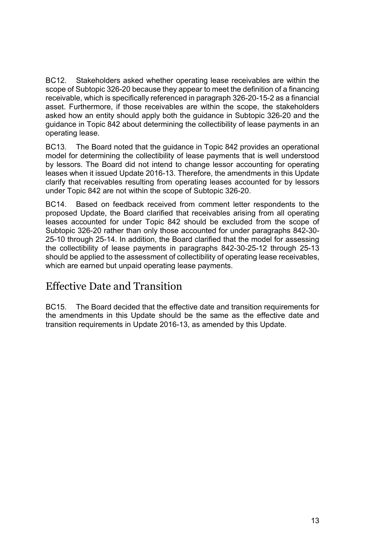BC12. Stakeholders asked whether operating lease receivables are within the scope of Subtopic 326-20 because they appear to meet the definition of a financing receivable, which is specifically referenced in paragraph 326-20-15-2 as a financial asset. Furthermore, if those receivables are within the scope, the stakeholders asked how an entity should apply both the guidance in Subtopic 326-20 and the guidance in Topic 842 about determining the collectibility of lease payments in an operating lease.

BC13. The Board noted that the guidance in Topic 842 provides an operational model for determining the collectibility of lease payments that is well understood by lessors. The Board did not intend to change lessor accounting for operating leases when it issued Update 2016-13. Therefore, the amendments in this Update clarify that receivables resulting from operating leases accounted for by lessors under Topic 842 are not within the scope of Subtopic 326-20.

BC14. Based on feedback received from comment letter respondents to the proposed Update, the Board clarified that receivables arising from all operating leases accounted for under Topic 842 should be excluded from the scope of Subtopic 326-20 rather than only those accounted for under paragraphs 842-30- 25-10 through 25-14. In addition, the Board clarified that the model for assessing the collectibility of lease payments in paragraphs 842-30-25-12 through 25-13 should be applied to the assessment of collectibility of operating lease receivables, which are earned but unpaid operating lease payments.

#### Effective Date and Transition

BC15. The Board decided that the effective date and transition requirements for the amendments in this Update should be the same as the effective date and transition requirements in Update 2016-13, as amended by this Update.